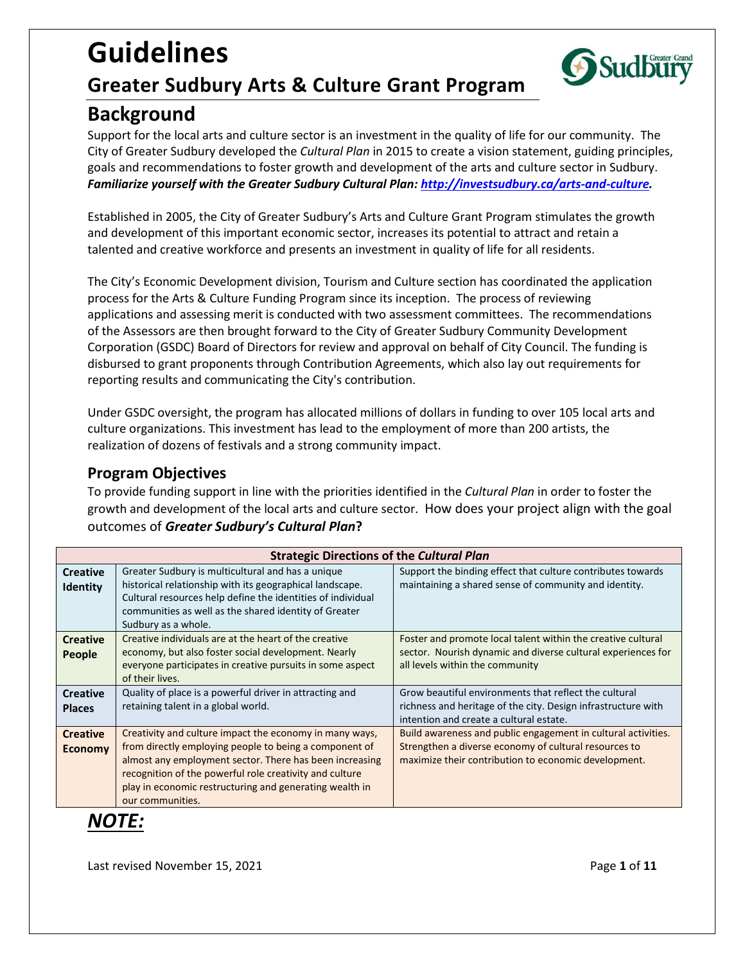# **Guidelines Greater Sudbury Arts & Culture Grant Program**



# **Background**

Support for the local arts and culture sector is an investment in the quality of life for our community. The City of Greater Sudbury developed the *Cultural Plan* in 2015 to create a vision statement, guiding principles, goals and recommendations to foster growth and development of the arts and culture sector in Sudbury. *Familiarize yourself with the Greater Sudbury Cultural Plan: [http://investsudbury.ca/arts-and-culture.](http://www.greatersudburyculture.ca/)* 

Established in 2005, the City of Greater Sudbury's Arts and Culture Grant Program stimulates the growth and development of this important economic sector, increases its potential to attract and retain a talented and creative workforce and presents an investment in quality of life for all residents.

The City's Economic Development division, Tourism and Culture section has coordinated the application process for the Arts & Culture Funding Program since its inception. The process of reviewing applications and assessing merit is conducted with two assessment committees. The recommendations of the Assessors are then brought forward to the City of Greater Sudbury Community Development Corporation (GSDC) Board of Directors for review and approval on behalf of City Council. The funding is disbursed to grant proponents through Contribution Agreements, which also lay out requirements for reporting results and communicating the City's contribution.

Under GSDC oversight, the program has allocated millions of dollars in funding to over 105 local arts and culture organizations. This investment has lead to the employment of more than 200 artists, the realization of dozens of festivals and a strong community impact.

### **Program Objectives**

To provide funding support in line with the priorities identified in the *Cultural Plan* in order to foster the growth and development of the local arts and culture sector. How does your project align with the goal outcomes of *Greater Sudbury's Cultural Plan***?**

| <b>Strategic Directions of the Cultural Plan</b> |                                                                                                                                                                                                                                                                                                                        |                                                                                                                                                                                |
|--------------------------------------------------|------------------------------------------------------------------------------------------------------------------------------------------------------------------------------------------------------------------------------------------------------------------------------------------------------------------------|--------------------------------------------------------------------------------------------------------------------------------------------------------------------------------|
| <b>Creative</b><br><b>Identity</b>               | Greater Sudbury is multicultural and has a unique<br>historical relationship with its geographical landscape.<br>Cultural resources help define the identities of individual<br>communities as well as the shared identity of Greater<br>Sudbury as a whole.                                                           | Support the binding effect that culture contributes towards<br>maintaining a shared sense of community and identity.                                                           |
| <b>Creative</b><br><b>People</b>                 | Creative individuals are at the heart of the creative<br>economy, but also foster social development. Nearly<br>everyone participates in creative pursuits in some aspect<br>of their lives.                                                                                                                           | Foster and promote local talent within the creative cultural<br>sector. Nourish dynamic and diverse cultural experiences for<br>all levels within the community                |
| <b>Creative</b><br><b>Places</b>                 | Quality of place is a powerful driver in attracting and<br>retaining talent in a global world.                                                                                                                                                                                                                         | Grow beautiful environments that reflect the cultural<br>richness and heritage of the city. Design infrastructure with<br>intention and create a cultural estate.              |
| <b>Creative</b><br><b>Economy</b>                | Creativity and culture impact the economy in many ways,<br>from directly employing people to being a component of<br>almost any employment sector. There has been increasing<br>recognition of the powerful role creativity and culture<br>play in economic restructuring and generating wealth in<br>our communities. | Build awareness and public engagement in cultural activities.<br>Strengthen a diverse economy of cultural resources to<br>maximize their contribution to economic development. |

# *NOTE:*

Last revised November 15, 2021 **Page 1** of **11**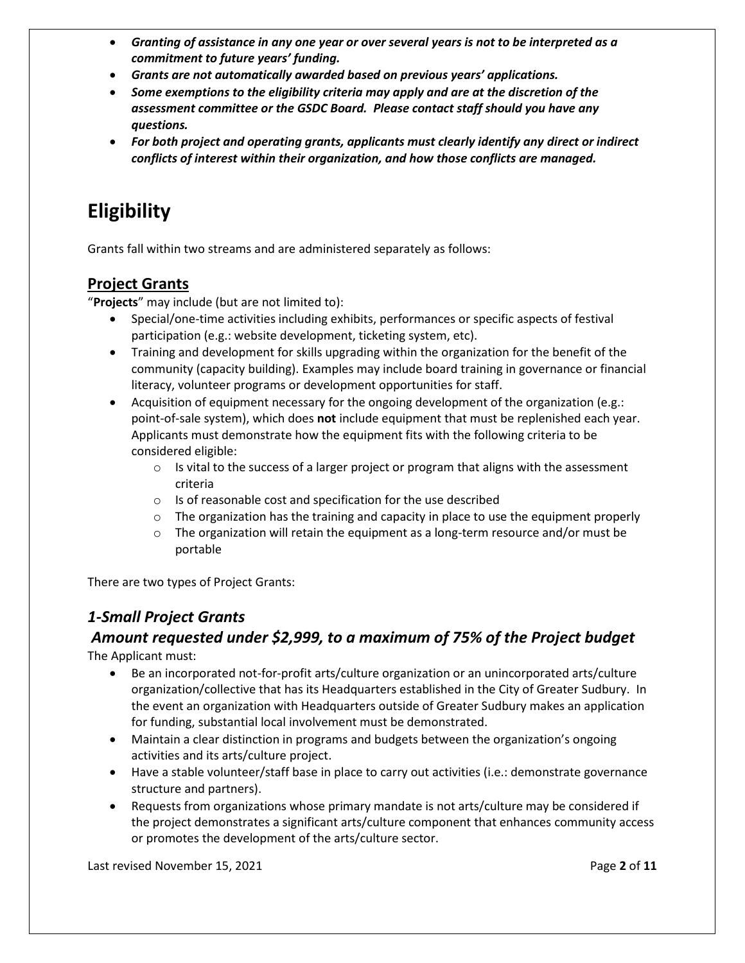- *Granting of assistance in any one year or over several years is not to be interpreted as a commitment to future years' funding.*
- *Grants are not automatically awarded based on previous years' applications.*
- *Some exemptions to the eligibility criteria may apply and are at the discretion of the assessment committee or the GSDC Board. Please contact staff should you have any questions.*
- *For both project and operating grants, applicants must clearly identify any direct or indirect conflicts of interest within their organization, and how those conflicts are managed.*

# **Eligibility**

Grants fall within two streams and are administered separately as follows:

### **Project Grants**

"**Projects**" may include (but are not limited to):

- Special/one-time activities including exhibits, performances or specific aspects of festival participation (e.g.: website development, ticketing system, etc).
- Training and development for skills upgrading within the organization for the benefit of the community (capacity building). Examples may include board training in governance or financial literacy, volunteer programs or development opportunities for staff.
- Acquisition of equipment necessary for the ongoing development of the organization (e.g.: point-of-sale system), which does **not** include equipment that must be replenished each year. Applicants must demonstrate how the equipment fits with the following criteria to be considered eligible:
	- $\circ$  Is vital to the success of a larger project or program that aligns with the assessment criteria
	- o Is of reasonable cost and specification for the use described
	- $\circ$  The organization has the training and capacity in place to use the equipment properly
	- $\circ$  The organization will retain the equipment as a long-term resource and/or must be portable

There are two types of Project Grants:

## *1-Small Project Grants*

# *Amount requested under \$2,999, to a maximum of 75% of the Project budget*

The Applicant must:

- Be an incorporated not-for-profit arts/culture organization or an unincorporated arts/culture organization/collective that has its Headquarters established in the City of Greater Sudbury. In the event an organization with Headquarters outside of Greater Sudbury makes an application for funding, substantial local involvement must be demonstrated.
- Maintain a clear distinction in programs and budgets between the organization's ongoing activities and its arts/culture project.
- Have a stable volunteer/staff base in place to carry out activities (i.e.: demonstrate governance structure and partners).
- Requests from organizations whose primary mandate is not arts/culture may be considered if the project demonstrates a significant arts/culture component that enhances community access or promotes the development of the arts/culture sector.

Last revised November 15, 2021 **Page 2** of **11**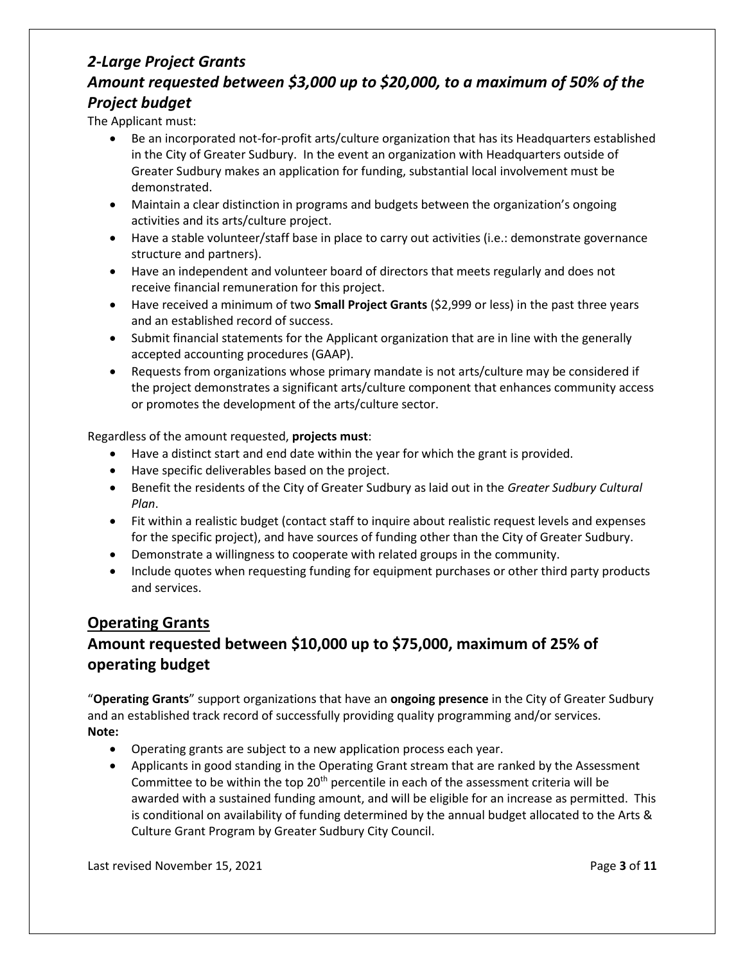### *2-Large Project Grants Amount requested between \$3,000 up to \$20,000, to a maximum of 50% of the Project budget*

The Applicant must:

- Be an incorporated not-for-profit arts/culture organization that has its Headquarters established in the City of Greater Sudbury. In the event an organization with Headquarters outside of Greater Sudbury makes an application for funding, substantial local involvement must be demonstrated.
- Maintain a clear distinction in programs and budgets between the organization's ongoing activities and its arts/culture project.
- Have a stable volunteer/staff base in place to carry out activities (i.e.: demonstrate governance structure and partners).
- Have an independent and volunteer board of directors that meets regularly and does not receive financial remuneration for this project.
- Have received a minimum of two **Small Project Grants** (\$2,999 or less) in the past three years and an established record of success.
- Submit financial statements for the Applicant organization that are in line with the generally accepted accounting procedures (GAAP).
- Requests from organizations whose primary mandate is not arts/culture may be considered if the project demonstrates a significant arts/culture component that enhances community access or promotes the development of the arts/culture sector.

Regardless of the amount requested, **projects must**:

- Have a distinct start and end date within the year for which the grant is provided.
- Have specific deliverables based on the project.
- Benefit the residents of the City of Greater Sudbury as laid out in the *Greater Sudbury Cultural Plan*.
- Fit within a realistic budget (contact staff to inquire about realistic request levels and expenses for the specific project), and have sources of funding other than the City of Greater Sudbury.
- Demonstrate a willingness to cooperate with related groups in the community.
- Include quotes when requesting funding for equipment purchases or other third party products and services.

### **Operating Grants**

## **Amount requested between \$10,000 up to \$75,000, maximum of 25% of operating budget**

"**Operating Grants**" support organizations that have an **ongoing presence** in the City of Greater Sudbury and an established track record of successfully providing quality programming and/or services. **Note:**

- Operating grants are subject to a new application process each year.
- Applicants in good standing in the Operating Grant stream that are ranked by the Assessment Committee to be within the top 20<sup>th</sup> percentile in each of the assessment criteria will be awarded with a sustained funding amount, and will be eligible for an increase as permitted. This is conditional on availability of funding determined by the annual budget allocated to the Arts & Culture Grant Program by Greater Sudbury City Council.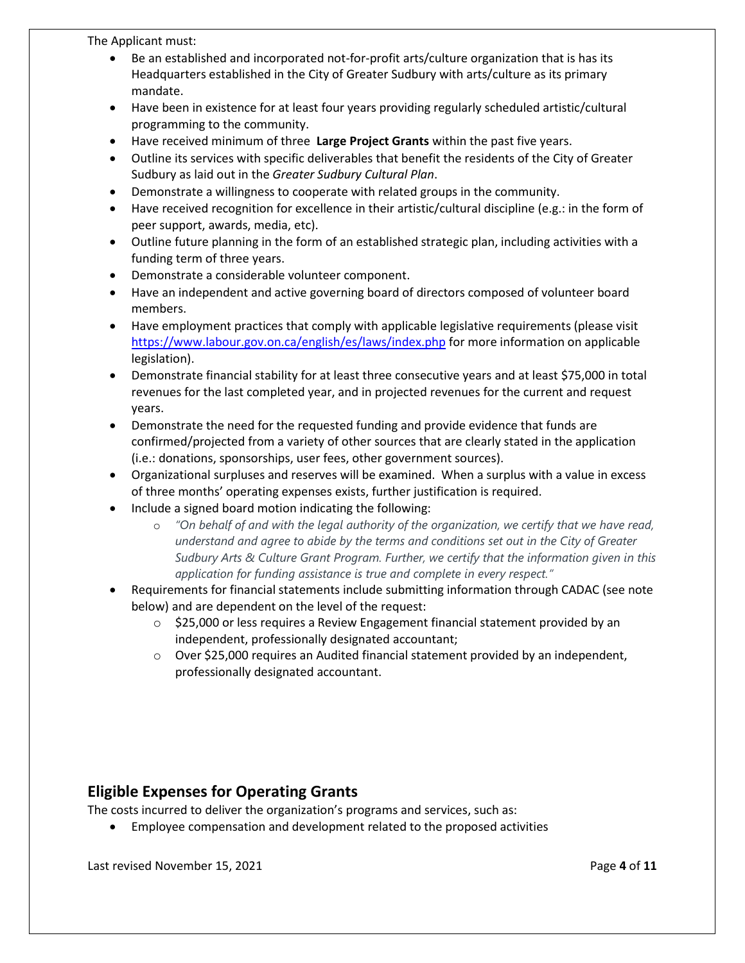The Applicant must:

- Be an established and incorporated not-for-profit arts/culture organization that is has its Headquarters established in the City of Greater Sudbury with arts/culture as its primary mandate.
- Have been in existence for at least four years providing regularly scheduled artistic/cultural programming to the community.
- Have received minimum of three **Large Project Grants** within the past five years.
- Outline its services with specific deliverables that benefit the residents of the City of Greater Sudbury as laid out in the *Greater Sudbury Cultural Plan*.
- Demonstrate a willingness to cooperate with related groups in the community.
- Have received recognition for excellence in their artistic/cultural discipline (e.g.: in the form of peer support, awards, media, etc).
- Outline future planning in the form of an established strategic plan, including activities with a funding term of three years.
- Demonstrate a considerable volunteer component.
- Have an independent and active governing board of directors composed of volunteer board members.
- Have employment practices that comply with applicable legislative requirements (please visit <https://www.labour.gov.on.ca/english/es/laws/index.php> for more information on applicable legislation).
- Demonstrate financial stability for at least three consecutive years and at least \$75,000 in total revenues for the last completed year, and in projected revenues for the current and request years.
- Demonstrate the need for the requested funding and provide evidence that funds are confirmed/projected from a variety of other sources that are clearly stated in the application (i.e.: donations, sponsorships, user fees, other government sources).
- Organizational surpluses and reserves will be examined. When a surplus with a value in excess of three months' operating expenses exists, further justification is required.
- Include a signed board motion indicating the following:
	- o *"On behalf of and with the legal authority of the organization, we certify that we have read, understand and agree to abide by the terms and conditions set out in the City of Greater Sudbury Arts & Culture Grant Program. Further, we certify that the information given in this application for funding assistance is true and complete in every respect."*
- Requirements for financial statements include submitting information through CADAC (see note below) and are dependent on the level of the request:
	- $\circ$  \$25,000 or less requires a Review Engagement financial statement provided by an independent, professionally designated accountant;
	- $\circ$  Over \$25,000 requires an Audited financial statement provided by an independent, professionally designated accountant.

### **Eligible Expenses for Operating Grants**

The costs incurred to deliver the organization's programs and services, such as:

• Employee compensation and development related to the proposed activities

Last revised November 15, 2021 **Page 4** of **11**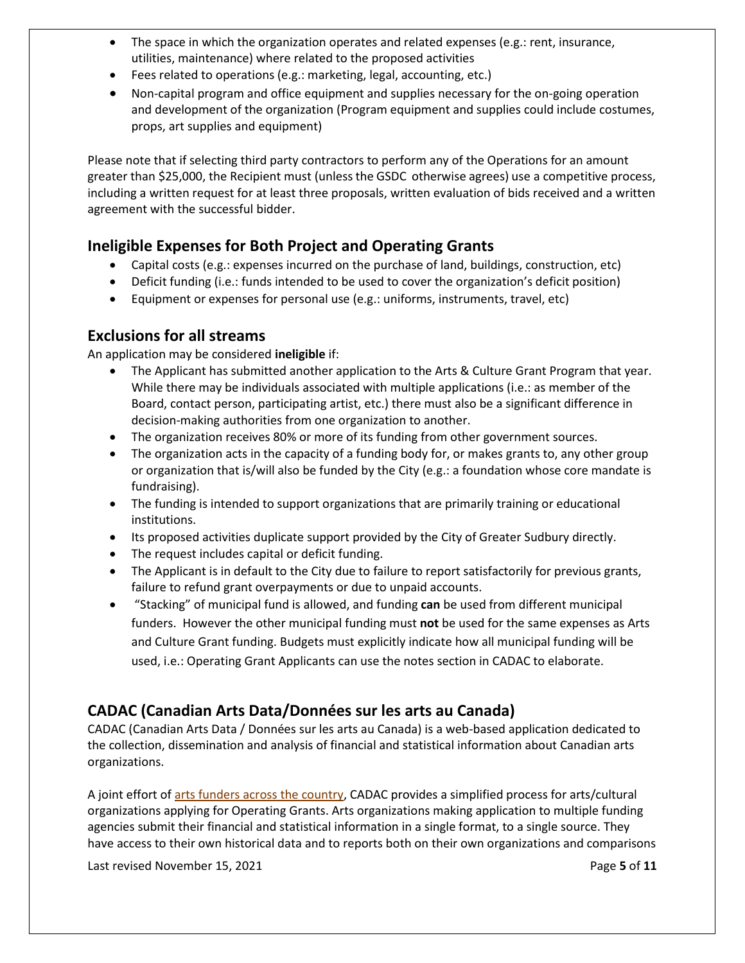- The space in which the organization operates and related expenses (e.g.: rent, insurance, utilities, maintenance) where related to the proposed activities
- Fees related to operations (e.g.: marketing, legal, accounting, etc.)
- Non-capital program and office equipment and supplies necessary for the on-going operation and development of the organization (Program equipment and supplies could include costumes, props, art supplies and equipment)

Please note that if selecting third party contractors to perform any of the Operations for an amount greater than \$25,000, the Recipient must (unlessthe GSDC otherwise agrees) use a competitive process, including a written request for at least three proposals, written evaluation of bids received and a written agreement with the successful bidder.

### **Ineligible Expenses for Both Project and Operating Grants**

- Capital costs (e.g.: expenses incurred on the purchase of land, buildings, construction, etc)
- Deficit funding (i.e.: funds intended to be used to cover the organization's deficit position)
- Equipment or expenses for personal use (e.g.: uniforms, instruments, travel, etc)

### **Exclusions for all streams**

An application may be considered **ineligible** if:

- The Applicant has submitted another application to the Arts & Culture Grant Program that year. While there may be individuals associated with multiple applications (i.e.: as member of the Board, contact person, participating artist, etc.) there must also be a significant difference in decision-making authorities from one organization to another.
- The organization receives 80% or more of its funding from other government sources.
- The organization acts in the capacity of a funding body for, or makes grants to, any other group or organization that is/will also be funded by the City (e.g.: a foundation whose core mandate is fundraising).
- The funding is intended to support organizations that are primarily training or educational institutions.
- Its proposed activities duplicate support provided by the City of Greater Sudbury directly.
- The request includes capital or deficit funding.
- The Applicant is in default to the City due to failure to report satisfactorily for previous grants, failure to refund grant overpayments or due to unpaid accounts.
- "Stacking" of municipal fund is allowed, and funding **can** be used from different municipal funders. However the other municipal funding must **not** be used for the same expenses as Arts and Culture Grant funding. Budgets must explicitly indicate how all municipal funding will be used, i.e.: Operating Grant Applicants can use the notes section in CADAC to elaborate.

### **CADAC (Canadian Arts Data/Données sur les arts au Canada)**

CADAC (Canadian Arts Data / Données sur les arts au Canada) is a web-based application dedicated to the collection, dissemination and analysis of financial and statistical information about Canadian arts organizations.

A joint effort of [arts funders across the country,](https://www.thecadac.ca/members.aspx) CADAC provides a simplified process for arts/cultural organizations applying for Operating Grants. Arts organizations making application to multiple funding agencies submit their financial and statistical information in a single format, to a single source. They have access to their own historical data and to reports both on their own organizations and comparisons

Last revised November 15, 2021 **Page 5** of 11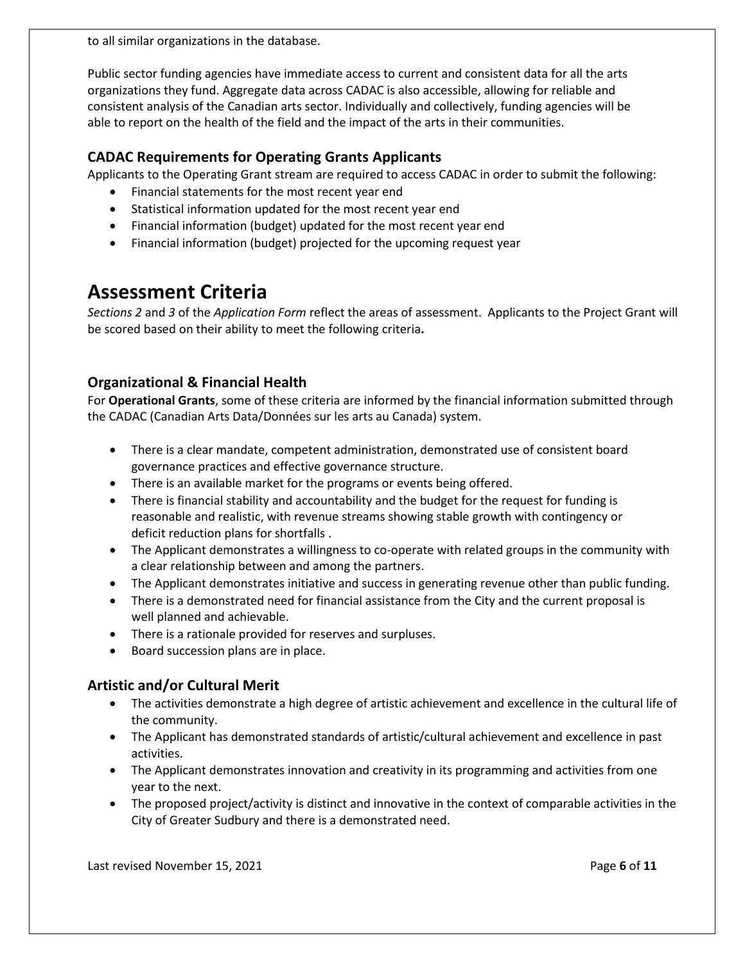to all similar organizations in the database.

Public sector funding agencies have immediate access to current and consistent data for all the arts organizations they fund. Aggregate data across CADAC is also accessible, allowing for reliable and consistent analysis of the Canadian arts sector. Individually and collectively, funding agencies will be able to report on the health of the field and the impact of the arts in their communities.

### **CADAC Requirements for Operating Grants Applicants**

Applicants to the Operating Grant stream are required to access CADAC in order to submit the following:

- Financial statements for the most recent year end
- Statistical information updated for the most recent year end
- Financial information (budget) updated for the most recent year end
- Financial information (budget) projected for the upcoming request year

# **Assessment Criteria**

*Sections 2* and *3* of the *Application Form* reflect the areas of assessment. Applicants to the Project Grant will be scored based on their ability to meet the following criteria**.** 

### **Organizational & Financial Health**

For **Operational Grants**, some of these criteria are informed by the financial information submitted through the CADAC (Canadian Arts Data/Données sur les arts au Canada) system.

- There is a clear mandate, competent administration, demonstrated use of consistent board governance practices and effective governance structure.
- There is an available market for the programs or events being offered.
- There is financial stability and accountability and the budget for the request for funding is reasonable and realistic, with revenue streams showing stable growth with contingency or deficit reduction plans for shortfalls .
- The Applicant demonstrates a willingness to co-operate with related groups in the community with a clear relationship between and among the partners.
- The Applicant demonstrates initiative and success in generating revenue other than public funding.
- There is a demonstrated need for financial assistance from the City and the current proposal is well planned and achievable.
- There is a rationale provided for reserves and surpluses.
- Board succession plans are in place.

### **Artistic and/or Cultural Merit**

- The activities demonstrate a high degree of artistic achievement and excellence in the cultural life of the community.
- The Applicant has demonstrated standards of artistic/cultural achievement and excellence in past activities.
- The Applicant demonstrates innovation and creativity in its programming and activities from one year to the next.
- The proposed project/activity is distinct and innovative in the context of comparable activities in the City of Greater Sudbury and there is a demonstrated need.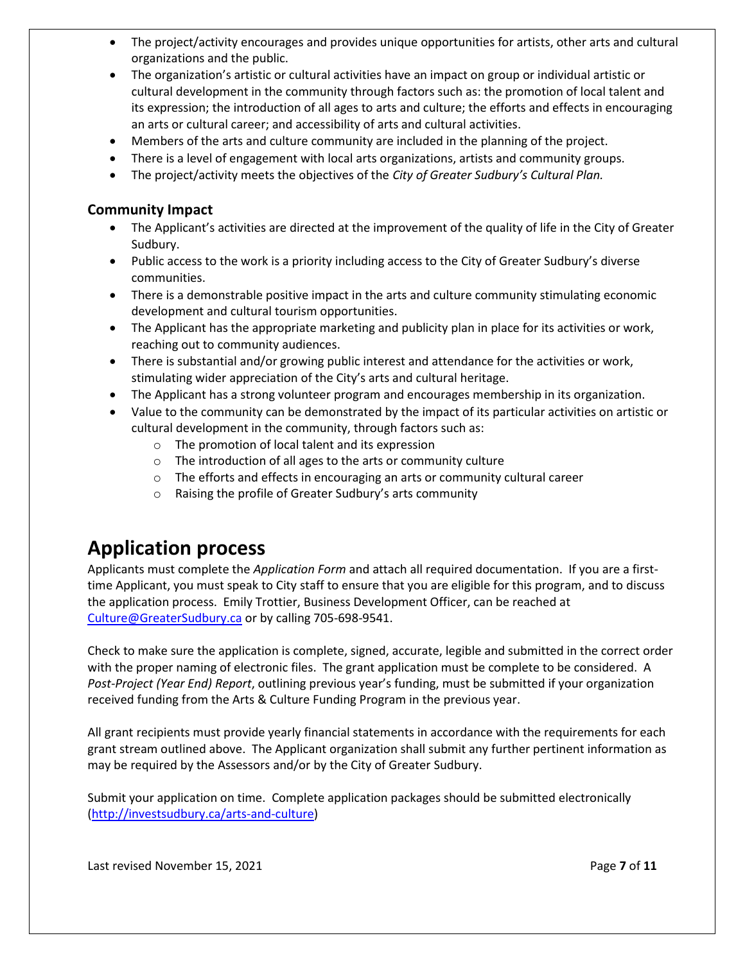- The project/activity encourages and provides unique opportunities for artists, other arts and cultural organizations and the public.
- The organization's artistic or cultural activities have an impact on group or individual artistic or cultural development in the community through factors such as: the promotion of local talent and its expression; the introduction of all ages to arts and culture; the efforts and effects in encouraging an arts or cultural career; and accessibility of arts and cultural activities.
- Members of the arts and culture community are included in the planning of the project.
- There is a level of engagement with local arts organizations, artists and community groups.
- The project/activity meets the objectives of the *City of Greater Sudbury's Cultural Plan.*

#### **Community Impact**

- The Applicant's activities are directed at the improvement of the quality of life in the City of Greater Sudbury.
- Public access to the work is a priority including access to the City of Greater Sudbury's diverse communities.
- There is a demonstrable positive impact in the arts and culture community stimulating economic development and cultural tourism opportunities.
- The Applicant has the appropriate marketing and publicity plan in place for its activities or work, reaching out to community audiences.
- There is substantial and/or growing public interest and attendance for the activities or work, stimulating wider appreciation of the City's arts and cultural heritage.
- The Applicant has a strong volunteer program and encourages membership in its organization.
- Value to the community can be demonstrated by the impact of its particular activities on artistic or cultural development in the community, through factors such as:
	- o The promotion of local talent and its expression
	- o The introduction of all ages to the arts or community culture
	- $\circ$  The efforts and effects in encouraging an arts or community cultural career
	- o Raising the profile of Greater Sudbury's arts community

# **Application process**

Applicants must complete the *Application Form* and attach all required documentation. If you are a firsttime Applicant, you must speak to City staff to ensure that you are eligible for this program, and to discuss the application process. Emily Trottier, Business Development Officer, can be reached at [Culture@GreaterSudbury.ca](mailto:Culture@GreaterSudbury.ca) or by calling 705-698-9541.

Check to make sure the application is complete, signed, accurate, legible and submitted in the correct order with the proper naming of electronic files. The grant application must be complete to be considered. A *Post-Project (Year End) Report*, outlining previous year's funding, must be submitted if your organization received funding from the Arts & Culture Funding Program in the previous year.

All grant recipients must provide yearly financial statements in accordance with the requirements for each grant stream outlined above. The Applicant organization shall submit any further pertinent information as may be required by the Assessors and/or by the City of Greater Sudbury.

Submit your application on time. Complete application packages should be submitted electronically [\(http://investsudbury.ca/arts-and-culture\)](http://www.greatersudburyculture.ca/)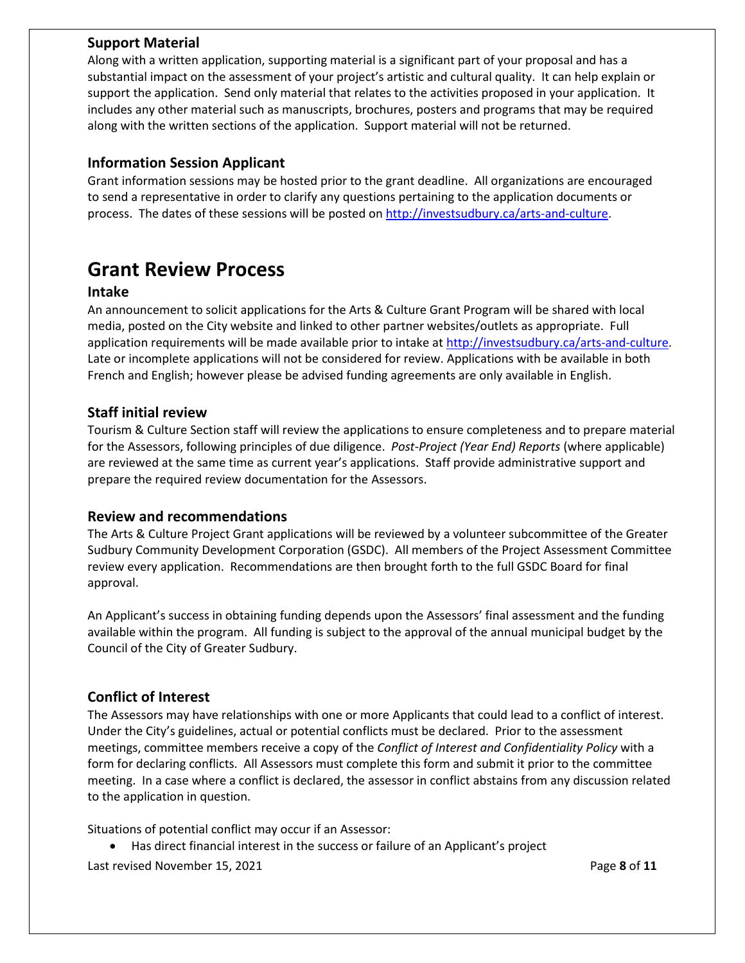### **Support Material**

Along with a written application, supporting material is a significant part of your proposal and has a substantial impact on the assessment of your project's artistic and cultural quality. It can help explain or support the application. Send only material that relates to the activities proposed in your application. It includes any other material such as manuscripts, brochures, posters and programs that may be required along with the written sections of the application. Support material will not be returned.

#### **Information Session Applicant**

Grant information sessions may be hosted prior to the grant deadline. All organizations are encouraged to send a representative in order to clarify any questions pertaining to the application documents or process. The dates of these sessions will be posted on [http://investsudbury.ca/arts-and-culture.](http://www.greatersudburyculture.ca/)

# **Grant Review Process**

#### **Intake**

An announcement to solicit applications for the Arts & Culture Grant Program will be shared with local media, posted on the City website and linked to other partner websites/outlets as appropriate. Full application requirements will be made available prior to intake a[t http://investsudbury.ca/arts-and-culture.](http://investsudbury.ca/arts-and-culture) Late or incomplete applications will not be considered for review. Applications with be available in both French and English; however please be advised funding agreements are only available in English.

#### **Staff initial review**

Tourism & Culture Section staff will review the applications to ensure completeness and to prepare material for the Assessors, following principles of due diligence. *Post-Project (Year End) Reports* (where applicable) are reviewed at the same time as current year's applications. Staff provide administrative support and prepare the required review documentation for the Assessors.

#### **Review and recommendations**

The Arts & Culture Project Grant applications will be reviewed by a volunteer subcommittee of the Greater Sudbury Community Development Corporation (GSDC). All members of the Project Assessment Committee review every application. Recommendations are then brought forth to the full GSDC Board for final approval.

An Applicant's success in obtaining funding depends upon the Assessors' final assessment and the funding available within the program. All funding is subject to the approval of the annual municipal budget by the Council of the City of Greater Sudbury.

### **Conflict of Interest**

The Assessors may have relationships with one or more Applicants that could lead to a conflict of interest. Under the City's guidelines, actual or potential conflicts must be declared. Prior to the assessment meetings, committee members receive a copy of the *Conflict of Interest and Confidentiality Policy* with a form for declaring conflicts. All Assessors must complete this form and submit it prior to the committee meeting. In a case where a conflict is declared, the assessor in conflict abstains from any discussion related to the application in question.

Situations of potential conflict may occur if an Assessor:

Last revised November 15, 2021 **Page 8** of **11** • Has direct financial interest in the success or failure of an Applicant's project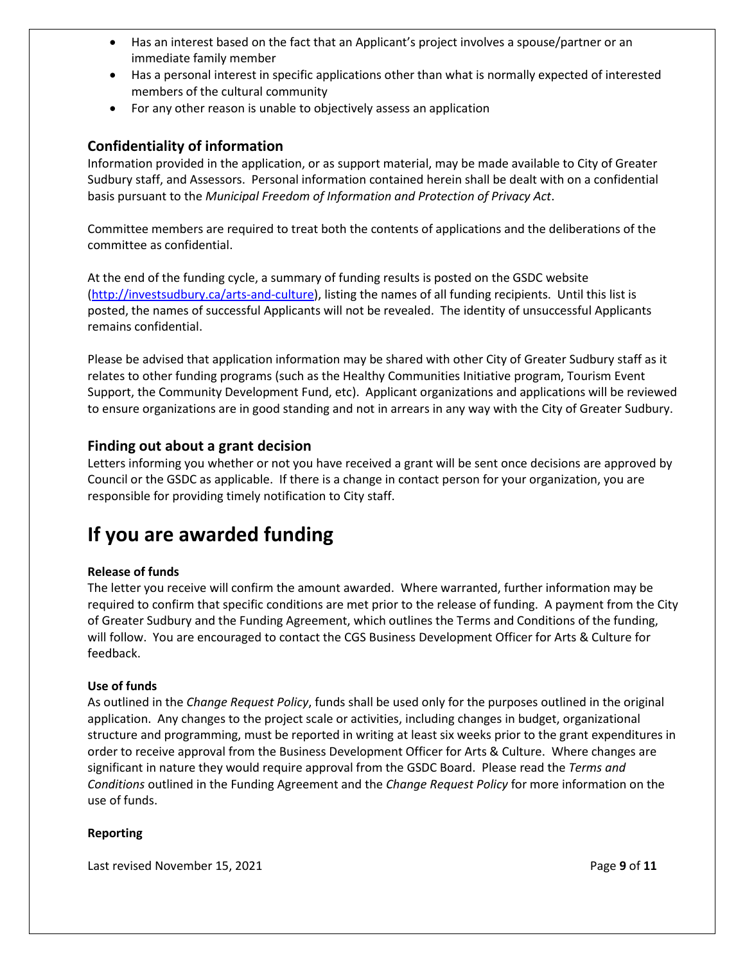- Has an interest based on the fact that an Applicant's project involves a spouse/partner or an immediate family member
- Has a personal interest in specific applications other than what is normally expected of interested members of the cultural community
- For any other reason is unable to objectively assess an application

#### **Confidentiality of information**

Information provided in the application, or as support material, may be made available to City of Greater Sudbury staff, and Assessors. Personal information contained herein shall be dealt with on a confidential basis pursuant to the *Municipal Freedom of Information and Protection of Privacy Act*.

Committee members are required to treat both the contents of applications and the deliberations of the committee as confidential.

At the end of the funding cycle, a summary of funding results is posted on the GSDC website [\(http://investsudbury.ca/arts-and-culture\)](http://investsudbury.ca/arts-and-culture), listing the names of all funding recipients. Until this list is posted, the names of successful Applicants will not be revealed. The identity of unsuccessful Applicants remains confidential.

Please be advised that application information may be shared with other City of Greater Sudbury staff as it relates to other funding programs (such as the Healthy Communities Initiative program, Tourism Event Support, the Community Development Fund, etc). Applicant organizations and applications will be reviewed to ensure organizations are in good standing and not in arrears in any way with the City of Greater Sudbury.

#### **Finding out about a grant decision**

Letters informing you whether or not you have received a grant will be sent once decisions are approved by Council or the GSDC as applicable. If there is a change in contact person for your organization, you are responsible for providing timely notification to City staff.

# **If you are awarded funding**

#### **Release of funds**

The letter you receive will confirm the amount awarded. Where warranted, further information may be required to confirm that specific conditions are met prior to the release of funding. A payment from the City of Greater Sudbury and the Funding Agreement, which outlines the Terms and Conditions of the funding, will follow. You are encouraged to contact the CGS Business Development Officer for Arts & Culture for feedback.

#### **Use of funds**

As outlined in the *Change Request Policy*, funds shall be used only for the purposes outlined in the original application. Any changes to the project scale or activities, including changes in budget, organizational structure and programming, must be reported in writing at least six weeks prior to the grant expenditures in order to receive approval from the Business Development Officer for Arts & Culture. Where changes are significant in nature they would require approval from the GSDC Board. Please read the *Terms and Conditions* outlined in the Funding Agreement and the *Change Request Policy* for more information on the use of funds.

#### **Reporting**

Last revised November 15, 2021 and the same page 9 of 11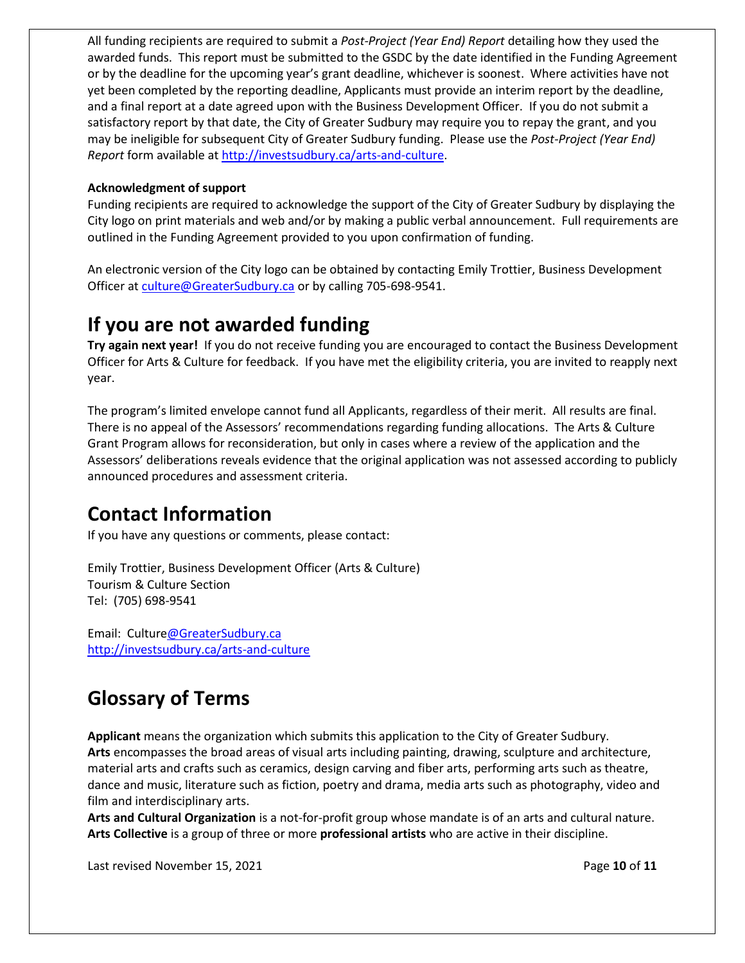All funding recipients are required to submit a *Post-Project (Year End) Report* detailing how they used the awarded funds. This report must be submitted to the GSDC by the date identified in the Funding Agreement or by the deadline for the upcoming year's grant deadline, whichever is soonest. Where activities have not yet been completed by the reporting deadline, Applicants must provide an interim report by the deadline, and a final report at a date agreed upon with the Business Development Officer. If you do not submit a satisfactory report by that date, the City of Greater Sudbury may require you to repay the grant, and you may be ineligible for subsequent City of Greater Sudbury funding. Please use the *Post-Project (Year End) Report* form available at [http://investsudbury.ca/arts-and-culture.](http://investsudbury.ca/arts-and-culture)

#### **Acknowledgment of support**

Funding recipients are required to acknowledge the support of the City of Greater Sudbury by displaying the City logo on print materials and web and/or by making a public verbal announcement. Full requirements are outlined in the Funding Agreement provided to you upon confirmation of funding.

An electronic version of the City logo can be obtained by contacting Emily Trottier, Business Development Officer at [culture@GreaterSudbury.ca](mailto:culture@GreaterSudbury.ca) or by calling 705-698-9541.

# **If you are not awarded funding**

**Try again next year!** If you do not receive funding you are encouraged to contact the Business Development Officer for Arts & Culture for feedback. If you have met the eligibility criteria, you are invited to reapply next year.

The program's limited envelope cannot fund all Applicants, regardless of their merit. All results are final. There is no appeal of the Assessors' recommendations regarding funding allocations. The Arts & Culture Grant Program allows for reconsideration, but only in cases where a review of the application and the Assessors' deliberations reveals evidence that the original application was not assessed according to publicly announced procedures and assessment criteria.

# **Contact Information**

If you have any questions or comments, please contact:

Emily Trottier, Business Development Officer (Arts & Culture) Tourism & Culture Section Tel: (705) 698-9541

Email: Cultur[e@GreaterSudbury.ca](mailto:Culture@GreaterSudbury.ca) <http://investsudbury.ca/arts-and-culture>

# **Glossary of Terms**

**Applicant** means the organization which submits this application to the City of Greater Sudbury. **Arts** encompasses the broad areas of visual arts including painting, drawing, sculpture and architecture, material arts and crafts such as ceramics, design carving and fiber arts, performing arts such as theatre, dance and music, literature such as fiction, poetry and drama, media arts such as photography, video and film and interdisciplinary arts.

**Arts and Cultural Organization** is a not-for-profit group whose mandate is of an arts and cultural nature. **Arts Collective** is a group of three or more **professional artists** who are active in their discipline.

Last revised November 15, 2021 **Page 10** of **11 Page 10** of **11**